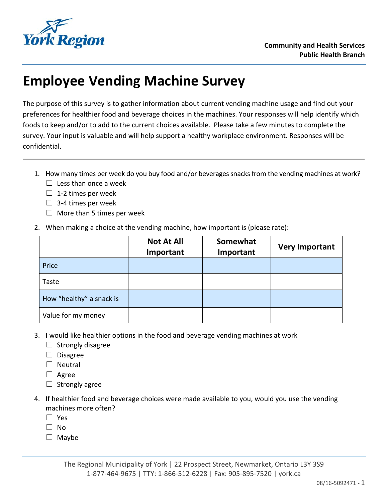

## **Employee Vending Machine Survey**

The purpose of this survey is to gather information about current vending machine usage and find out your preferences for healthier food and beverage choices in the machines. Your responses will help identify which foods to keep and/or to add to the current choices available. Please take a few minutes to complete the survey. Your input is valuable and will help support a healthy workplace environment. Responses will be confidential.

- 1. How many times per week do you buy food and/or beverages snacks from the vending machines at work?  $\Box$  Less than once a week
	- $\Box$  1-2 times per week
	- $\Box$  3-4 times per week
	- $\Box$  More than 5 times per week
- 2. When making a choice at the vending machine, how important is (please rate):

|                          | <b>Not At All</b><br>Important | Somewhat<br>Important | <b>Very Important</b> |
|--------------------------|--------------------------------|-----------------------|-----------------------|
| Price                    |                                |                       |                       |
| Taste                    |                                |                       |                       |
| How "healthy" a snack is |                                |                       |                       |
| Value for my money       |                                |                       |                       |

- 3. I would like healthier options in the food and beverage vending machines at work
	- $\Box$  Strongly disagree
	- ☐ Disagree
	- □ Neutral
	- ☐ Agree
	- $\Box$  Strongly agree
- 4. If healthier food and beverage choices were made available to you, would you use the vending machines more often?
	- ☐ Yes
	- ☐ No
	- ☐ Maybe